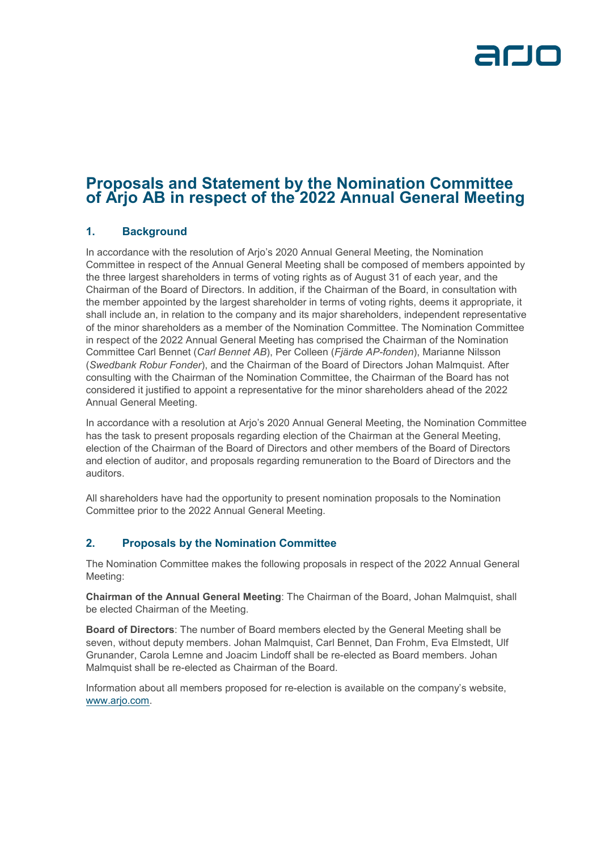

# **Proposals and Statement by the Nomination Committee of Arjo AB in respect of the 2022 Annual General Meeting**

### **1. Background**

In accordance with the resolution of Arjo's 2020 Annual General Meeting, the Nomination Committee in respect of the Annual General Meeting shall be composed of members appointed by the three largest shareholders in terms of voting rights as of August 31 of each year, and the Chairman of the Board of Directors. In addition, if the Chairman of the Board, in consultation with the member appointed by the largest shareholder in terms of voting rights, deems it appropriate, it shall include an, in relation to the company and its major shareholders, independent representative of the minor shareholders as a member of the Nomination Committee. The Nomination Committee in respect of the 2022 Annual General Meeting has comprised the Chairman of the Nomination Committee Carl Bennet (*Carl Bennet AB*), Per Colleen (*Fjärde AP-fonden*), Marianne Nilsson (*Swedbank Robur Fonder*), and the Chairman of the Board of Directors Johan Malmquist. After consulting with the Chairman of the Nomination Committee, the Chairman of the Board has not considered it justified to appoint a representative for the minor shareholders ahead of the 2022 Annual General Meeting.

In accordance with a resolution at Arjo's 2020 Annual General Meeting, the Nomination Committee has the task to present proposals regarding election of the Chairman at the General Meeting, election of the Chairman of the Board of Directors and other members of the Board of Directors and election of auditor, and proposals regarding remuneration to the Board of Directors and the auditors.

All shareholders have had the opportunity to present nomination proposals to the Nomination Committee prior to the 2022 Annual General Meeting.

### **2. Proposals by the Nomination Committee**

The Nomination Committee makes the following proposals in respect of the 2022 Annual General Meeting:

**Chairman of the Annual General Meeting**: The Chairman of the Board, Johan Malmquist, shall be elected Chairman of the Meeting.

**Board of Directors**: The number of Board members elected by the General Meeting shall be seven, without deputy members. Johan Malmquist, Carl Bennet, Dan Frohm, Eva Elmstedt, Ulf Grunander, Carola Lemne and Joacim Lindoff shall be re-elected as Board members. Johan Malmquist shall be re-elected as Chairman of the Board.

Information about all members proposed for re-election is available on the company's website, [www.arjo.com.](https://arjo.sharepoint.com/sites/Arjo-CorporateEvents/Shared%20Documents/Annual%20General%20Meeting/2022/Dokumentation/1.%20Dokument%20till%20hemsidan/Yttrande%20fr%C3%A5n%20valb.,%20inkl.%20instr%20-%20publ.%20m.%20kallelse/Word/www.arjo.com)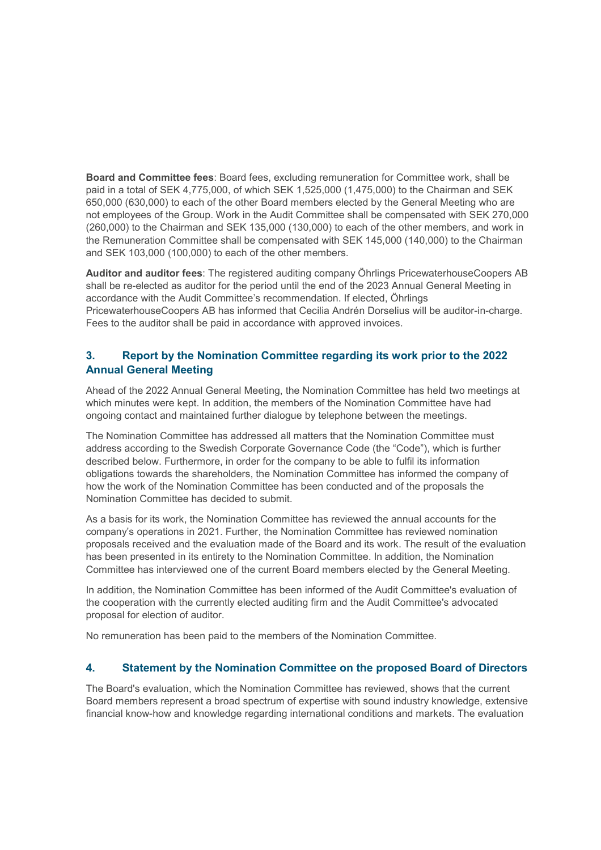**Board and Committee fees**: Board fees, excluding remuneration for Committee work, shall be paid in a total of SEK 4,775,000, of which SEK 1,525,000 (1,475,000) to the Chairman and SEK 650,000 (630,000) to each of the other Board members elected by the General Meeting who are not employees of the Group. Work in the Audit Committee shall be compensated with SEK 270,000 (260,000) to the Chairman and SEK 135,000 (130,000) to each of the other members, and work in the Remuneration Committee shall be compensated with SEK 145,000 (140,000) to the Chairman and SEK 103,000 (100,000) to each of the other members.

**Auditor and auditor fees**: The registered auditing company Öhrlings PricewaterhouseCoopers AB shall be re-elected as auditor for the period until the end of the 2023 Annual General Meeting in accordance with the Audit Committee's recommendation. If elected, Öhrlings PricewaterhouseCoopers AB has informed that Cecilia Andrén Dorselius will be auditor-in-charge. Fees to the auditor shall be paid in accordance with approved invoices.

## **3. Report by the Nomination Committee regarding its work prior to the 2022 Annual General Meeting**

Ahead of the 2022 Annual General Meeting, the Nomination Committee has held two meetings at which minutes were kept. In addition, the members of the Nomination Committee have had ongoing contact and maintained further dialogue by telephone between the meetings.

The Nomination Committee has addressed all matters that the Nomination Committee must address according to the Swedish Corporate Governance Code (the "Code"), which is further described below. Furthermore, in order for the company to be able to fulfil its information obligations towards the shareholders, the Nomination Committee has informed the company of how the work of the Nomination Committee has been conducted and of the proposals the Nomination Committee has decided to submit.

As a basis for its work, the Nomination Committee has reviewed the annual accounts for the company's operations in 2021. Further, the Nomination Committee has reviewed nomination proposals received and the evaluation made of the Board and its work. The result of the evaluation has been presented in its entirety to the Nomination Committee. In addition, the Nomination Committee has interviewed one of the current Board members elected by the General Meeting.

In addition, the Nomination Committee has been informed of the Audit Committee's evaluation of the cooperation with the currently elected auditing firm and the Audit Committee's advocated proposal for election of auditor.

No remuneration has been paid to the members of the Nomination Committee.

#### **4. Statement by the Nomination Committee on the proposed Board of Directors**

The Board's evaluation, which the Nomination Committee has reviewed, shows that the current Board members represent a broad spectrum of expertise with sound industry knowledge, extensive financial know-how and knowledge regarding international conditions and markets. The evaluation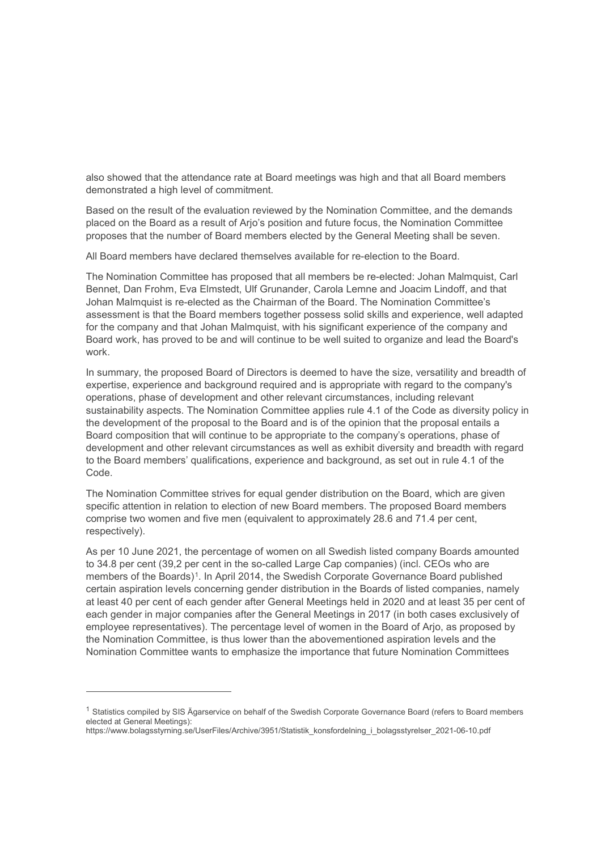also showed that the attendance rate at Board meetings was high and that all Board members demonstrated a high level of commitment.

Based on the result of the evaluation reviewed by the Nomination Committee, and the demands placed on the Board as a result of Arjo's position and future focus, the Nomination Committee proposes that the number of Board members elected by the General Meeting shall be seven.

All Board members have declared themselves available for re-election to the Board.

The Nomination Committee has proposed that all members be re-elected: Johan Malmquist, Carl Bennet, Dan Frohm, Eva Elmstedt, Ulf Grunander, Carola Lemne and Joacim Lindoff, and that Johan Malmquist is re-elected as the Chairman of the Board. The Nomination Committee's assessment is that the Board members together possess solid skills and experience, well adapted for the company and that Johan Malmquist, with his significant experience of the company and Board work, has proved to be and will continue to be well suited to organize and lead the Board's work.

In summary, the proposed Board of Directors is deemed to have the size, versatility and breadth of expertise, experience and background required and is appropriate with regard to the company's operations, phase of development and other relevant circumstances, including relevant sustainability aspects. The Nomination Committee applies rule 4.1 of the Code as diversity policy in the development of the proposal to the Board and is of the opinion that the proposal entails a Board composition that will continue to be appropriate to the company's operations, phase of development and other relevant circumstances as well as exhibit diversity and breadth with regard to the Board members' qualifications, experience and background, as set out in rule 4.1 of the Code.

The Nomination Committee strives for equal gender distribution on the Board, which are given specific attention in relation to election of new Board members. The proposed Board members comprise two women and five men (equivalent to approximately 28.6 and 71.4 per cent, respectively).

As per 10 June 2021, the percentage of women on all Swedish listed company Boards amounted to 34.8 per cent (39,2 per cent in the so-called Large Cap companies) (incl. CEOs who are members of the Boards)<sup>[1](#page-2-0)</sup>. In April 2014, the Swedish Corporate Governance Board published certain aspiration levels concerning gender distribution in the Boards of listed companies, namely at least 40 per cent of each gender after General Meetings held in 2020 and at least 35 per cent of each gender in major companies after the General Meetings in 2017 (in both cases exclusively of employee representatives). The percentage level of women in the Board of Arjo, as proposed by the Nomination Committee, is thus lower than the abovementioned aspiration levels and the Nomination Committee wants to emphasize the importance that future Nomination Committees

 $\overline{a}$ 

<span id="page-2-0"></span><sup>&</sup>lt;sup>1</sup> Statistics compiled by SIS Ägarservice on behalf of the Swedish Corporate Governance Board (refers to Board members elected at General Meetings):

https://www.bolagsstyrning.se/UserFiles/Archive/3951/Statistik\_konsfordelning\_i\_bolagsstyrelser\_2021-06-10.pdf